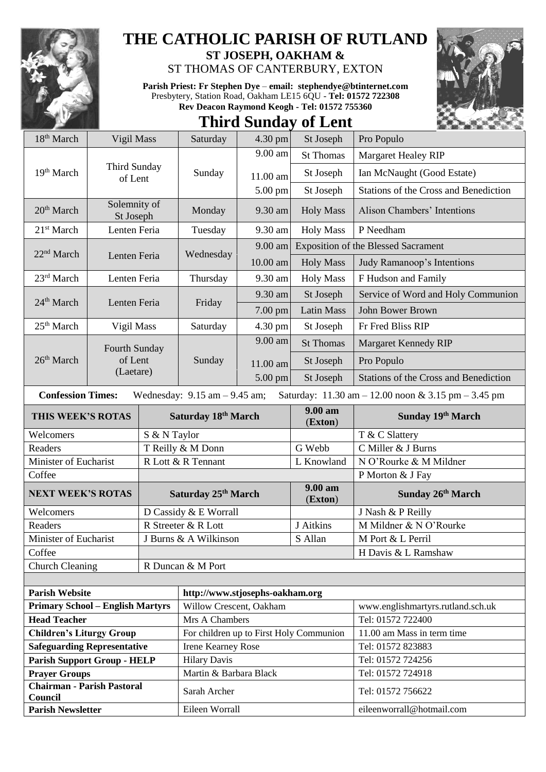

## **THE CATHOLIC PARISH OF RUTLAND**

**ST JOSEPH, OAKHAM &**  ST THOMAS OF CANTERBURY, EXTON

**Parish Priest: Fr Stephen Dye** – **[email: stephendye@btinternet.com](mailto:email:%20%20stephendye@btinternet.com)** Presbytery, Station Road, Oakham LE15 6QU - **Tel: 01572 722308 Rev Deacon Raymond Keogh - Tel: 01572 755360**

## **Third Sunday of Lent**